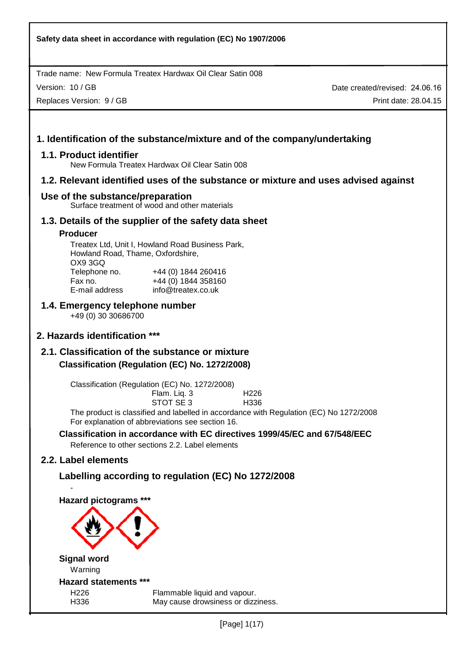Version: 10 / GB

Replaces Version: 9 / GB

Date created/revised: 24.06.16 Print date: 28.04.15

# **1. Identification of the substance/mixture and of the company/undertaking**

#### **1.1. Product identifier**

New Formula Treatex Hardwax Oil Clear Satin 008

## **1.2. Relevant identified uses of the substance or mixture and uses advised against**

#### **Use of the substance/preparation**

Surface treatment of wood and other materials

## **1.3. Details of the supplier of the safety data sheet**

#### **Producer**

Treatex Ltd, Unit I, Howland Road Business Park, Howland Road, Thame, Oxfordshire, OX9 3GQ Telephone no. +44 (0) 1844 260416 Fax no. +44 (0) 1844 358160 E-mail address info@treatex.co.uk

# **1.4. Emergency telephone number**

+49 (0) 30 30686700

# **2. Hazards identification \*\*\***

# **2.1. Classification of the substance or mixture Classification (Regulation (EC) No. 1272/2008)**

Classification (Regulation (EC) No. 1272/2008)

| Flam. Liq. 3 | H <sub>226</sub> |
|--------------|------------------|
| STOT SE 3    | H336             |

The product is classified and labelled in accordance with Regulation (EC) No 1272/2008 For explanation of abbreviations see section 16.

#### **Classification in accordance with EC directives 1999/45/EC and 67/548/EEC**  Reference to other sections 2.2. Label elements

# **2.2. Label elements**

-

# **Labelling according to regulation (EC) No 1272/2008**

**Hazard pictograms \*\*\*** 

# **Signal word**  Warning **Hazard statements \*\*\***

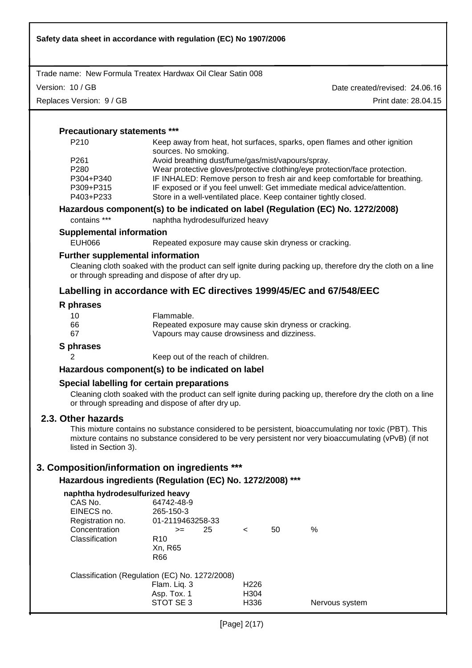| Safety data sheet in accordance with regulation (EC) No 1907/2006 |                                                                                                 |         |    |                                                                                                                                                                                                                 |
|-------------------------------------------------------------------|-------------------------------------------------------------------------------------------------|---------|----|-----------------------------------------------------------------------------------------------------------------------------------------------------------------------------------------------------------------|
| Trade name: New Formula Treatex Hardwax Oil Clear Satin 008       |                                                                                                 |         |    |                                                                                                                                                                                                                 |
| Version: 10 / GB                                                  |                                                                                                 |         |    | Date created/revised: 24.06.16                                                                                                                                                                                  |
| Replaces Version: 9 / GB                                          |                                                                                                 |         |    | Print date: 28.04.15                                                                                                                                                                                            |
|                                                                   |                                                                                                 |         |    |                                                                                                                                                                                                                 |
| <b>Precautionary statements ***</b>                               |                                                                                                 |         |    |                                                                                                                                                                                                                 |
| P210                                                              | sources. No smoking.                                                                            |         |    | Keep away from heat, hot surfaces, sparks, open flames and other ignition                                                                                                                                       |
| P261                                                              | Avoid breathing dust/fume/gas/mist/vapours/spray.                                               |         |    |                                                                                                                                                                                                                 |
| P280                                                              |                                                                                                 |         |    | Wear protective gloves/protective clothing/eye protection/face protection.                                                                                                                                      |
| P304+P340                                                         |                                                                                                 |         |    | IF INHALED: Remove person to fresh air and keep comfortable for breathing.                                                                                                                                      |
| P309+P315                                                         |                                                                                                 |         |    | IF exposed or if you feel unwell: Get immediate medical advice/attention.                                                                                                                                       |
| P403+P233                                                         |                                                                                                 |         |    | Store in a well-ventilated place. Keep container tightly closed.                                                                                                                                                |
| contains ***                                                      | naphtha hydrodesulfurized heavy                                                                 |         |    | Hazardous component(s) to be indicated on label (Regulation (EC) No. 1272/2008)                                                                                                                                 |
|                                                                   |                                                                                                 |         |    |                                                                                                                                                                                                                 |
| <b>Supplemental information</b>                                   |                                                                                                 |         |    |                                                                                                                                                                                                                 |
| <b>EUH066</b>                                                     | Repeated exposure may cause skin dryness or cracking.                                           |         |    |                                                                                                                                                                                                                 |
| <b>Further supplemental information</b>                           | or through spreading and dispose of after dry up.                                               |         |    | Cleaning cloth soaked with the product can self ignite during packing up, therefore dry the cloth on a line                                                                                                     |
|                                                                   |                                                                                                 |         |    | Labelling in accordance with EC directives 1999/45/EC and 67/548/EEC                                                                                                                                            |
| R phrases                                                         |                                                                                                 |         |    |                                                                                                                                                                                                                 |
| 10                                                                | Flammable.                                                                                      |         |    |                                                                                                                                                                                                                 |
| 66                                                                | Repeated exposure may cause skin dryness or cracking.                                           |         |    |                                                                                                                                                                                                                 |
| 67<br>Vapours may cause drowsiness and dizziness.                 |                                                                                                 |         |    |                                                                                                                                                                                                                 |
| S phrases                                                         |                                                                                                 |         |    |                                                                                                                                                                                                                 |
| 2                                                                 | Keep out of the reach of children.                                                              |         |    |                                                                                                                                                                                                                 |
|                                                                   | Hazardous component(s) to be indicated on label                                                 |         |    |                                                                                                                                                                                                                 |
|                                                                   | Special labelling for certain preparations<br>or through spreading and dispose of after dry up. |         |    | Cleaning cloth soaked with the product can self ignite during packing up, therefore dry the cloth on a line                                                                                                     |
| 2.3. Other hazards<br>listed in Section 3).                       |                                                                                                 |         |    | This mixture contains no substance considered to be persistent, bioaccumulating nor toxic (PBT). This<br>mixture contains no substance considered to be very persistent nor very bioaccumulating (vPvB) (if not |
| 3. Composition/information on ingredients ***                     |                                                                                                 |         |    |                                                                                                                                                                                                                 |
|                                                                   | Hazardous ingredients (Regulation (EC) No. 1272/2008) ***                                       |         |    |                                                                                                                                                                                                                 |
| naphtha hydrodesulfurized heavy                                   |                                                                                                 |         |    |                                                                                                                                                                                                                 |
| CAS No.                                                           | 64742-48-9                                                                                      |         |    |                                                                                                                                                                                                                 |
| EINECS no.                                                        | 265-150-3                                                                                       |         |    |                                                                                                                                                                                                                 |
| Registration no.                                                  | 01-2119463258-33                                                                                |         |    |                                                                                                                                                                                                                 |
| Concentration<br>Classification                                   | 25<br>$>=$<br>R <sub>10</sub>                                                                   | $\,<\,$ | 50 | %                                                                                                                                                                                                               |
|                                                                   | Xn, R65                                                                                         |         |    |                                                                                                                                                                                                                 |
|                                                                   | <b>R66</b>                                                                                      |         |    |                                                                                                                                                                                                                 |
|                                                                   | Classification (Regulation (EC) No. 1272/2008)                                                  |         |    |                                                                                                                                                                                                                 |
|                                                                   | Flam. Liq. 3                                                                                    | H226    |    |                                                                                                                                                                                                                 |
|                                                                   | Asp. Tox. 1                                                                                     | H304    |    |                                                                                                                                                                                                                 |
|                                                                   | STOT SE 3                                                                                       | H336    |    | Nervous system                                                                                                                                                                                                  |
|                                                                   |                                                                                                 |         |    |                                                                                                                                                                                                                 |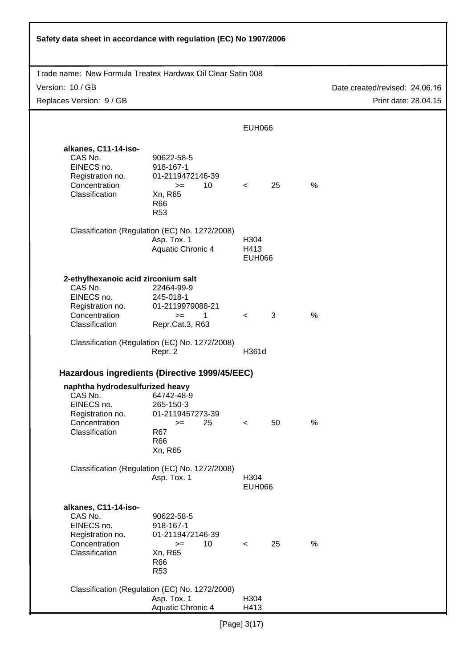| Safety data sheet in accordance with regulation (EC) No 1907/2006                                                   |                                                                                                                               |                                           |    |               |                                |
|---------------------------------------------------------------------------------------------------------------------|-------------------------------------------------------------------------------------------------------------------------------|-------------------------------------------|----|---------------|--------------------------------|
| Trade name: New Formula Treatex Hardwax Oil Clear Satin 008                                                         |                                                                                                                               |                                           |    |               |                                |
| Version: 10 / GB                                                                                                    |                                                                                                                               |                                           |    |               | Date created/revised: 24.06.16 |
| Replaces Version: 9 / GB                                                                                            |                                                                                                                               |                                           |    |               | Print date: 28.04.15           |
|                                                                                                                     |                                                                                                                               |                                           |    |               |                                |
|                                                                                                                     |                                                                                                                               | <b>EUH066</b>                             |    |               |                                |
| alkanes, C11-14-iso-<br>CAS No.<br>EINECS no.<br>Registration no.<br>Concentration<br>Classification                | 90622-58-5<br>918-167-1<br>01-2119472146-39<br>10<br>$>=$<br>Xn, R65<br>R66<br>R <sub>53</sub>                                | $\prec$ and $\sim$                        | 25 | %             |                                |
|                                                                                                                     | Classification (Regulation (EC) No. 1272/2008)<br>Asp. Tox. 1<br>Aquatic Chronic 4                                            | H <sub>304</sub><br>H413<br><b>EUH066</b> |    |               |                                |
| 2-ethylhexanoic acid zirconium salt<br>CAS No.<br>EINECS no.<br>Registration no.<br>Concentration<br>Classification | 22464-99-9<br>245-018-1<br>01-2119979088-21<br>1<br>$>=$<br>Repr.Cat.3, R63<br>Classification (Regulation (EC) No. 1272/2008) | $\prec$ and $\sim$                        | 3  | $\frac{0}{0}$ |                                |
|                                                                                                                     | Repr. 2                                                                                                                       | H361d                                     |    |               |                                |
|                                                                                                                     | Hazardous ingredients (Directive 1999/45/EEC)                                                                                 |                                           |    |               |                                |
| naphtha hydrodesulfurized heavy<br>CAS No.<br>EINECS no.<br>Registration no.<br>Concentration<br>Classification     | 64742-48-9<br>265-150-3<br>01-2119457273-39<br>25<br>$>=$<br>R67<br>R66<br>Xn, R65                                            | $\prec$                                   | 50 | $\%$          |                                |
|                                                                                                                     | Classification (Regulation (EC) No. 1272/2008)<br>Asp. Tox. 1                                                                 | H304<br><b>EUH066</b>                     |    |               |                                |
| alkanes, C11-14-iso-<br>CAS No.<br>EINECS no.<br>Registration no.<br>Concentration<br>Classification                | 90622-58-5<br>918-167-1<br>01-2119472146-39<br>10<br>$>=$<br>Xn, R65<br>R66<br>R <sub>53</sub>                                | $\prec$                                   | 25 | %             |                                |
|                                                                                                                     | Classification (Regulation (EC) No. 1272/2008)<br>Asp. Tox. 1<br>Aquatic Chronic 4                                            | H304<br>H413                              |    |               |                                |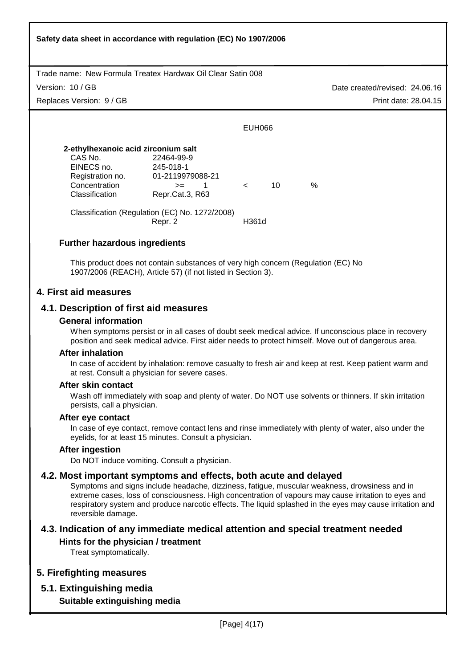Trade name: New Formula Treatex Hardwax Oil Clear Satin 008 Date created/revised: 24.06.16 Print date: 28.04.15 Version: 10 / GB **Safety data sheet in accordance with regulation (EC) No 1907/2006** Replaces Version: 9 / GB EUH066 **2-ethylhexanoic acid zirconium salt**  CAS No. 22464-99-9 EINECS no. 245-018-1 Registration no. 01-2119979088-21  $\text{Concentration}$   $\text{>=}$  1 < 10 % Classification Repr.Cat.3, R63 Classification (Regulation (EC) No. 1272/2008) Repr. 2 **H361d Further hazardous ingredients**  This product does not contain substances of very high concern (Regulation (EC) No 1907/2006 (REACH), Article 57) (if not listed in Section 3). **4. First aid measures 4.1. Description of first aid measures General information**  When symptoms persist or in all cases of doubt seek medical advice. If unconscious place in recovery position and seek medical advice. First aider needs to protect himself. Move out of dangerous area. **After inhalation**  In case of accident by inhalation: remove casualty to fresh air and keep at rest. Keep patient warm and at rest. Consult a physician for severe cases. **After skin contact**  Wash off immediately with soap and plenty of water. Do NOT use solvents or thinners. If skin irritation persists, call a physician. **After eye contact**  In case of eye contact, remove contact lens and rinse immediately with plenty of water, also under the eyelids, for at least 15 minutes. Consult a physician. **After ingestion**  Do NOT induce vomiting. Consult a physician. **4.2. Most important symptoms and effects, both acute and delayed**  Symptoms and signs include headache, dizziness, fatigue, muscular weakness, drowsiness and in extreme cases, loss of consciousness. High concentration of vapours may cause irritation to eyes and respiratory system and produce narcotic effects. The liquid splashed in the eyes may cause irritation and reversible damage. **4.3. Indication of any immediate medical attention and special treatment needed Hints for the physician / treatment**  Treat symptomatically. **5. Firefighting measures 5.1. Extinguishing media Suitable extinguishing media**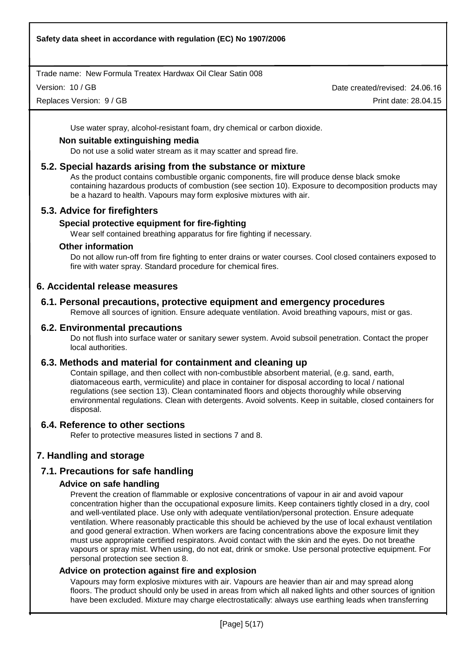Version: 10 / GB

Replaces Version: 9 / GB

Date created/revised: 24.06.16 Print date: 28.04.15

Use water spray, alcohol-resistant foam, dry chemical or carbon dioxide.

## **Non suitable extinguishing media**

Do not use a solid water stream as it may scatter and spread fire.

## **5.2. Special hazards arising from the substance or mixture**

As the product contains combustible organic components, fire will produce dense black smoke containing hazardous products of combustion (see section 10). Exposure to decomposition products may be a hazard to health. Vapours may form explosive mixtures with air.

# **5.3. Advice for firefighters**

## **Special protective equipment for fire-fighting**

Wear self contained breathing apparatus for fire fighting if necessary.

#### **Other information**

Do not allow run-off from fire fighting to enter drains or water courses. Cool closed containers exposed to fire with water spray. Standard procedure for chemical fires.

## **6. Accidental release measures**

# **6.1. Personal precautions, protective equipment and emergency procedures**

Remove all sources of ignition. Ensure adequate ventilation. Avoid breathing vapours, mist or gas.

## **6.2. Environmental precautions**

Do not flush into surface water or sanitary sewer system. Avoid subsoil penetration. Contact the proper local authorities.

# **6.3. Methods and material for containment and cleaning up**

Contain spillage, and then collect with non-combustible absorbent material, (e.g. sand, earth, diatomaceous earth, vermiculite) and place in container for disposal according to local / national regulations (see section 13). Clean contaminated floors and objects thoroughly while observing environmental regulations. Clean with detergents. Avoid solvents. Keep in suitable, closed containers for disposal.

#### **6.4. Reference to other sections**

Refer to protective measures listed in sections 7 and 8.

# **7. Handling and storage**

# **7.1. Precautions for safe handling**

### **Advice on safe handling**

Prevent the creation of flammable or explosive concentrations of vapour in air and avoid vapour concentration higher than the occupational exposure limits. Keep containers tightly closed in a dry, cool and well-ventilated place. Use only with adequate ventilation/personal protection. Ensure adequate ventilation. Where reasonably practicable this should be achieved by the use of local exhaust ventilation and good general extraction. When workers are facing concentrations above the exposure limit they must use appropriate certified respirators. Avoid contact with the skin and the eyes. Do not breathe vapours or spray mist. When using, do not eat, drink or smoke. Use personal protective equipment. For personal protection see section 8.

#### **Advice on protection against fire and explosion**

Vapours may form explosive mixtures with air. Vapours are heavier than air and may spread along floors. The product should only be used in areas from which all naked lights and other sources of ignition have been excluded. Mixture may charge electrostatically: always use earthing leads when transferring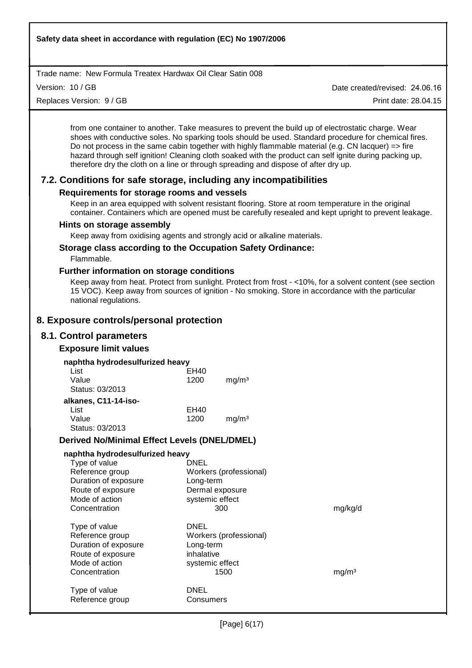Version: 10 / GB

Replaces Version: 9 / GB

Date created/revised: 24.06.16

Print date: 28.04.15

from one container to another. Take measures to prevent the build up of electrostatic charge. Wear shoes with conductive soles. No sparking tools should be used. Standard procedure for chemical fires. Do not process in the same cabin together with highly flammable material (e.g. CN lacquer) => fire hazard through self ignition! Cleaning cloth soaked with the product can self ignite during packing up, therefore dry the cloth on a line or through spreading and dispose of after dry up.

# **7.2. Conditions for safe storage, including any incompatibilities**

# **Requirements for storage rooms and vessels**

Keep in an area equipped with solvent resistant flooring. Store at room temperature in the original container. Containers which are opened must be carefully resealed and kept upright to prevent leakage.

## **Hints on storage assembly**

Keep away from oxidising agents and strongly acid or alkaline materials.

### **Storage class according to the Occupation Safety Ordinance:**

Flammable.

## **Further information on storage conditions**

Keep away from heat. Protect from sunlight. Protect from frost - <10%, for a solvent content (see section 15 VOC). Keep away from sources of ignition - No smoking. Store in accordance with the particular national regulations.

# **8. Exposure controls/personal protection**

# **8.1. Control parameters**

# **Exposure limit values**

| naphtha hydrodesulfurized heavy |      |                   |
|---------------------------------|------|-------------------|
| List                            | EH40 |                   |
| Value                           | 1200 | mg/m <sup>3</sup> |
| Status: 03/2013                 |      |                   |
| alkanes, C11-14-iso-            |      |                   |
| List                            | EH40 |                   |
| Value                           | 1200 | mg/m <sup>3</sup> |
| Status: 03/2013                 |      |                   |

# **Derived No/Minimal Effect Levels (DNEL/DMEL)**

| naphtha hydrodesulfurized heavy |                        |                   |
|---------------------------------|------------------------|-------------------|
| Type of value                   | DNEL                   |                   |
| Reference group                 | Workers (professional) |                   |
| Duration of exposure            | Long-term              |                   |
| Route of exposure               | Dermal exposure        |                   |
| Mode of action                  | systemic effect        |                   |
| Concentration                   | 300                    | mg/kg/d           |
| Type of value                   | DNEL                   |                   |
| Reference group                 | Workers (professional) |                   |
| Duration of exposure            | Long-term              |                   |
| Route of exposure               | inhalative             |                   |
| Mode of action                  | systemic effect        |                   |
| Concentration                   | 1500                   | mg/m <sup>3</sup> |
| Type of value                   | DNEL                   |                   |
| Reference group                 | Consumers              |                   |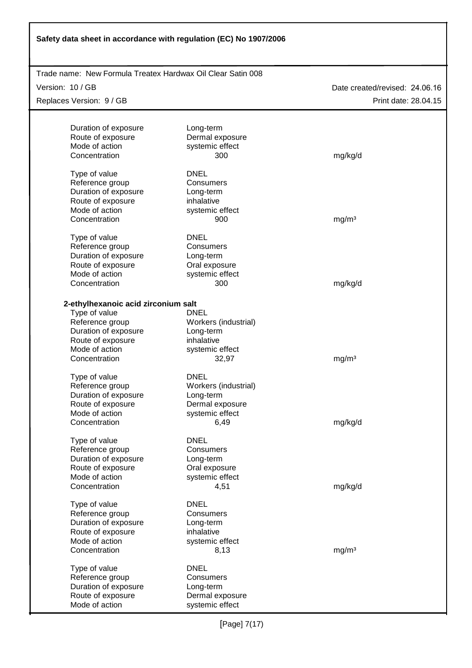| Safety data sheet in accordance with regulation (EC) No 1907/2006 |                          |                                |  |  |
|-------------------------------------------------------------------|--------------------------|--------------------------------|--|--|
| Trade name: New Formula Treatex Hardwax Oil Clear Satin 008       |                          |                                |  |  |
|                                                                   |                          |                                |  |  |
| Version: 10 / GB                                                  |                          | Date created/revised: 24.06.16 |  |  |
| Replaces Version: 9 / GB                                          |                          | Print date: 28.04.15           |  |  |
|                                                                   |                          |                                |  |  |
| Duration of exposure                                              | Long-term                |                                |  |  |
| Route of exposure<br>Mode of action                               | Dermal exposure          |                                |  |  |
| Concentration                                                     | systemic effect<br>300   |                                |  |  |
|                                                                   |                          | mg/kg/d                        |  |  |
| Type of value                                                     | <b>DNEL</b>              |                                |  |  |
| Reference group                                                   | Consumers                |                                |  |  |
| Duration of exposure                                              | Long-term                |                                |  |  |
| Route of exposure                                                 | inhalative               |                                |  |  |
| Mode of action                                                    | systemic effect          |                                |  |  |
| Concentration                                                     | 900                      | mg/m <sup>3</sup>              |  |  |
| Type of value                                                     | <b>DNEL</b>              |                                |  |  |
| Reference group                                                   | Consumers                |                                |  |  |
| Duration of exposure                                              | Long-term                |                                |  |  |
| Route of exposure                                                 | Oral exposure            |                                |  |  |
| Mode of action                                                    | systemic effect          |                                |  |  |
| Concentration                                                     | 300                      | mg/kg/d                        |  |  |
|                                                                   |                          |                                |  |  |
| 2-ethylhexanoic acid zirconium salt                               |                          |                                |  |  |
| Type of value                                                     | <b>DNEL</b>              |                                |  |  |
| Reference group                                                   | Workers (industrial)     |                                |  |  |
| Duration of exposure                                              | Long-term                |                                |  |  |
| Route of exposure                                                 | inhalative               |                                |  |  |
| Mode of action<br>Concentration                                   | systemic effect<br>32,97 | mg/m <sup>3</sup>              |  |  |
|                                                                   |                          |                                |  |  |
| Type of value                                                     | <b>DNEL</b>              |                                |  |  |
| Reference group                                                   | Workers (industrial)     |                                |  |  |
| Duration of exposure                                              | Long-term                |                                |  |  |
| Route of exposure                                                 | Dermal exposure          |                                |  |  |
| Mode of action                                                    | systemic effect          |                                |  |  |
| Concentration                                                     | 6,49                     | mg/kg/d                        |  |  |
| Type of value                                                     | <b>DNEL</b>              |                                |  |  |
| Reference group                                                   | Consumers                |                                |  |  |
| Duration of exposure                                              | Long-term                |                                |  |  |
| Route of exposure                                                 | Oral exposure            |                                |  |  |
| Mode of action                                                    | systemic effect          |                                |  |  |
| Concentration                                                     | 4,51                     | mg/kg/d                        |  |  |
| Type of value                                                     | <b>DNEL</b>              |                                |  |  |
| Reference group                                                   | Consumers                |                                |  |  |
| Duration of exposure                                              | Long-term                |                                |  |  |
| Route of exposure                                                 | inhalative               |                                |  |  |
| Mode of action                                                    | systemic effect          |                                |  |  |
| Concentration                                                     | 8,13                     | mg/m <sup>3</sup>              |  |  |
|                                                                   |                          |                                |  |  |
| Type of value                                                     | <b>DNEL</b>              |                                |  |  |
| Reference group                                                   | Consumers                |                                |  |  |
| Duration of exposure                                              | Long-term                |                                |  |  |
| Route of exposure                                                 | Dermal exposure          |                                |  |  |
| Mode of action                                                    | systemic effect          |                                |  |  |

٦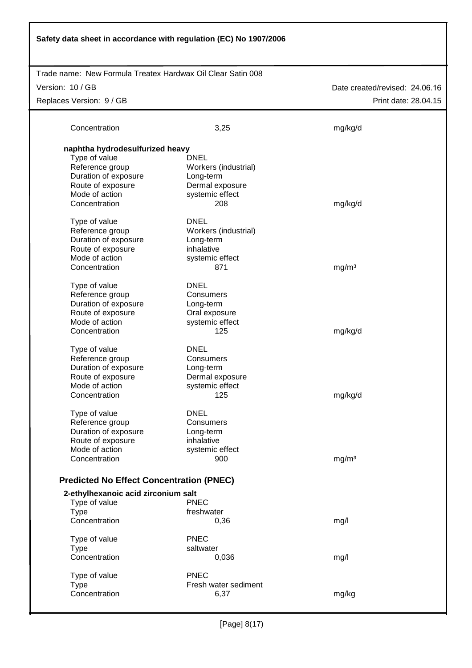| Safety data sheet in accordance with regulation (EC) No 1907/2006 |                                   |                                |  |  |  |
|-------------------------------------------------------------------|-----------------------------------|--------------------------------|--|--|--|
| Trade name: New Formula Treatex Hardwax Oil Clear Satin 008       |                                   |                                |  |  |  |
| Version: 10 / GB                                                  |                                   | Date created/revised: 24.06.16 |  |  |  |
| Replaces Version: 9 / GB                                          |                                   | Print date: 28.04.15           |  |  |  |
|                                                                   |                                   |                                |  |  |  |
| Concentration                                                     | 3,25                              | mg/kg/d                        |  |  |  |
| naphtha hydrodesulfurized heavy                                   |                                   |                                |  |  |  |
| Type of value                                                     | <b>DNEL</b>                       |                                |  |  |  |
| Reference group<br>Duration of exposure                           | Workers (industrial)<br>Long-term |                                |  |  |  |
| Route of exposure                                                 | Dermal exposure                   |                                |  |  |  |
| Mode of action                                                    | systemic effect                   |                                |  |  |  |
| Concentration                                                     | 208                               | mg/kg/d                        |  |  |  |
|                                                                   |                                   |                                |  |  |  |
| Type of value                                                     | <b>DNEL</b>                       |                                |  |  |  |
| Reference group                                                   | Workers (industrial)              |                                |  |  |  |
| Duration of exposure                                              | Long-term                         |                                |  |  |  |
| Route of exposure                                                 | inhalative                        |                                |  |  |  |
| Mode of action                                                    | systemic effect                   |                                |  |  |  |
| Concentration                                                     | 871                               | mg/m <sup>3</sup>              |  |  |  |
| Type of value                                                     | <b>DNEL</b>                       |                                |  |  |  |
| Reference group                                                   | Consumers                         |                                |  |  |  |
| Duration of exposure                                              | Long-term                         |                                |  |  |  |
| Route of exposure                                                 | Oral exposure                     |                                |  |  |  |
| Mode of action                                                    | systemic effect                   |                                |  |  |  |
| Concentration                                                     | 125                               | mg/kg/d                        |  |  |  |
| Type of value                                                     | <b>DNEL</b>                       |                                |  |  |  |
| Reference group                                                   | Consumers                         |                                |  |  |  |
| Duration of exposure                                              | Long-term                         |                                |  |  |  |
| Route of exposure                                                 | Dermal exposure                   |                                |  |  |  |
| Mode of action                                                    | systemic effect                   |                                |  |  |  |
| Concentration                                                     | 125                               | mg/kg/d                        |  |  |  |
| Type of value                                                     | <b>DNEL</b>                       |                                |  |  |  |
| Reference group                                                   | Consumers                         |                                |  |  |  |
| Duration of exposure                                              | Long-term                         |                                |  |  |  |
| Route of exposure                                                 | inhalative                        |                                |  |  |  |
| Mode of action                                                    | systemic effect                   |                                |  |  |  |
| Concentration                                                     | 900                               | mg/m <sup>3</sup>              |  |  |  |
| <b>Predicted No Effect Concentration (PNEC)</b>                   |                                   |                                |  |  |  |
| 2-ethylhexanoic acid zirconium salt                               |                                   |                                |  |  |  |
| Type of value                                                     | <b>PNEC</b>                       |                                |  |  |  |
| <b>Type</b>                                                       | freshwater                        |                                |  |  |  |
| Concentration                                                     | 0,36                              | mg/l                           |  |  |  |
| Type of value                                                     | <b>PNEC</b>                       |                                |  |  |  |
| <b>Type</b>                                                       | saltwater                         |                                |  |  |  |
| Concentration                                                     | 0,036                             | mg/l                           |  |  |  |
| Type of value                                                     | <b>PNEC</b>                       |                                |  |  |  |
| <b>Type</b>                                                       | Fresh water sediment              |                                |  |  |  |
| Concentration                                                     | 6,37                              | mg/kg                          |  |  |  |
|                                                                   |                                   |                                |  |  |  |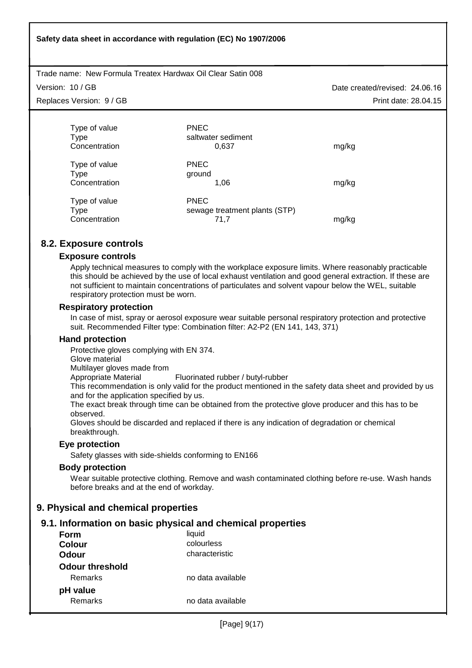**Safety data sheet in accordance with regulation (EC) No 1907/2006**

Trade name: New Formula Treatex Hardwax Oil Clear Satin 008

Version: 10 / GB

Replaces Version: 9 / GB

Date created/revised: 24.06.16 Print date: 28.04.15

| Type of value<br>Type<br>Concentration | <b>PNEC</b><br>saltwater sediment<br>0,637           | mg/kg |
|----------------------------------------|------------------------------------------------------|-------|
| Type of value<br>Type<br>Concentration | <b>PNEC</b><br>ground<br>1.06                        | mg/kg |
| Type of value<br>Type<br>Concentration | <b>PNEC</b><br>sewage treatment plants (STP)<br>71.7 | mg/kg |

# **8.2. Exposure controls**

#### **Exposure controls**

Apply technical measures to comply with the workplace exposure limits. Where reasonably practicable this should be achieved by the use of local exhaust ventilation and good general extraction. If these are not sufficient to maintain concentrations of particulates and solvent vapour below the WEL, suitable respiratory protection must be worn.

#### **Respiratory protection**

In case of mist, spray or aerosol exposure wear suitable personal respiratory protection and protective suit. Recommended Filter type: Combination filter: A2-P2 (EN 141, 143, 371)

#### **Hand protection**

Protective gloves complying with EN 374.

Glove material

Multilayer gloves made from

Appropriate Material Fluorinated rubber / butyl-rubber

This recommendation is only valid for the product mentioned in the safety data sheet and provided by us and for the application specified by us.

The exact break through time can be obtained from the protective glove producer and this has to be observed.

Gloves should be discarded and replaced if there is any indication of degradation or chemical breakthrough.

### **Eye protection**

Safety glasses with side-shields conforming to EN166

### **Body protection**

Wear suitable protective clothing. Remove and wash contaminated clothing before re-use. Wash hands before breaks and at the end of workday.

# **9. Physical and chemical properties**

# **9.1. Information on basic physical and chemical properties**

| Form                   | liquid            |
|------------------------|-------------------|
| Colour                 | colourless        |
| Odour                  | characteristic    |
| <b>Odour threshold</b> |                   |
| Remarks                | no data available |
| pH value               |                   |
| Remarks                | no data available |
|                        |                   |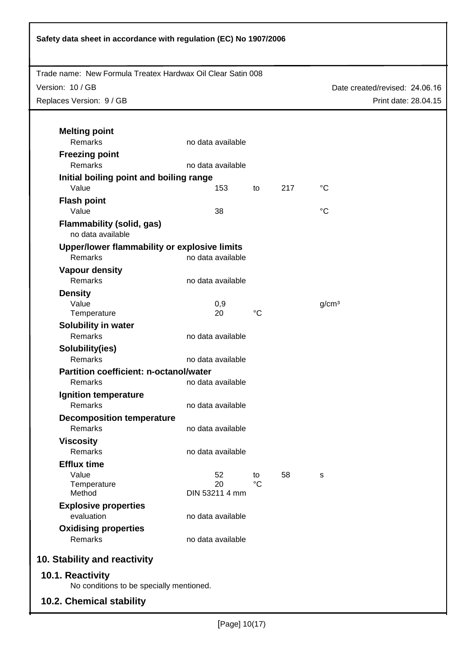| Safety data sheet in accordance with regulation (EC) No 1907/2006 |                      |                   |     |                                |
|-------------------------------------------------------------------|----------------------|-------------------|-----|--------------------------------|
| Trade name: New Formula Treatex Hardwax Oil Clear Satin 008       |                      |                   |     |                                |
| Version: 10 / GB                                                  |                      |                   |     | Date created/revised: 24.06.16 |
| Replaces Version: 9 / GB                                          |                      |                   |     | Print date: 28.04.15           |
|                                                                   |                      |                   |     |                                |
| <b>Melting point</b>                                              |                      |                   |     |                                |
| Remarks                                                           | no data available    |                   |     |                                |
| <b>Freezing point</b>                                             |                      |                   |     |                                |
| Remarks                                                           | no data available    |                   |     |                                |
| Initial boiling point and boiling range                           |                      |                   |     |                                |
| Value                                                             | 153                  | to                | 217 | $^{\circ}C$                    |
| <b>Flash point</b>                                                |                      |                   |     |                                |
| Value                                                             | 38                   |                   |     | °C                             |
| <b>Flammability (solid, gas)</b><br>no data available             |                      |                   |     |                                |
| Upper/lower flammability or explosive limits                      |                      |                   |     |                                |
| Remarks                                                           | no data available    |                   |     |                                |
| <b>Vapour density</b>                                             |                      |                   |     |                                |
| Remarks                                                           | no data available    |                   |     |                                |
| <b>Density</b>                                                    |                      |                   |     |                                |
| Value                                                             | 0,9<br>20            | $^{\circ}C$       |     | g/cm <sup>3</sup>              |
| Temperature                                                       |                      |                   |     |                                |
| Solubility in water<br>Remarks                                    | no data available    |                   |     |                                |
| Solubility(ies)                                                   |                      |                   |     |                                |
| Remarks                                                           | no data available    |                   |     |                                |
| Partition coefficient: n-octanol/water                            |                      |                   |     |                                |
| Remarks                                                           | no data available    |                   |     |                                |
| <b>Ignition temperature</b>                                       |                      |                   |     |                                |
| Remarks                                                           | no data available    |                   |     |                                |
| <b>Decomposition temperature</b>                                  |                      |                   |     |                                |
| Remarks                                                           | no data available    |                   |     |                                |
| <b>Viscosity</b>                                                  |                      |                   |     |                                |
| Remarks                                                           | no data available    |                   |     |                                |
| <b>Efflux time</b>                                                |                      |                   |     |                                |
| Value                                                             | 52                   | to<br>$^{\circ}C$ | 58  | S                              |
| Temperature<br>Method                                             | 20<br>DIN 53211 4 mm |                   |     |                                |
| <b>Explosive properties</b>                                       |                      |                   |     |                                |
| evaluation                                                        | no data available    |                   |     |                                |
| <b>Oxidising properties</b>                                       |                      |                   |     |                                |
| Remarks                                                           | no data available    |                   |     |                                |
| 10. Stability and reactivity                                      |                      |                   |     |                                |
| 10.1. Reactivity                                                  |                      |                   |     |                                |
| No conditions to be specially mentioned.                          |                      |                   |     |                                |
| <b>10.2. Chemical stability</b>                                   |                      |                   |     |                                |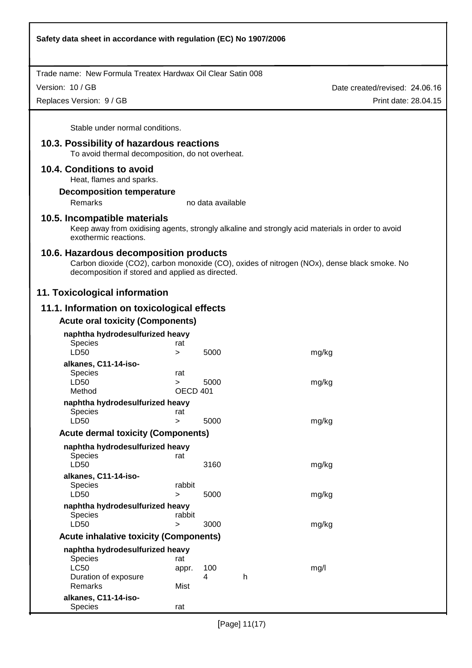Version: 10 / GB

Replaces Version: 9 / GB

Date created/revised: 24.06.16 Print date: 28.04.15

Stable under normal conditions.

# **10.3. Possibility of hazardous reactions**

To avoid thermal decomposition, do not overheat.

#### **10.4. Conditions to avoid**

Heat, flames and sparks.

#### **Decomposition temperature**

Remarks no data available

## **10.5. Incompatible materials**

Keep away from oxidising agents, strongly alkaline and strongly acid materials in order to avoid exothermic reactions.

#### **10.6. Hazardous decomposition products**

Carbon dioxide (CO2), carbon monoxide (CO), oxides of nitrogen (NOx), dense black smoke. No decomposition if stored and applied as directed.

# **11. Toxicological information**

# **11.1. Information on toxicological effects**

## **Acute oral toxicity (Components)**

| naphtha hydrodesulfurized heavy               |          |      |   |       |
|-----------------------------------------------|----------|------|---|-------|
| <b>Species</b>                                | rat      |      |   |       |
| LD50                                          | $\geq$   | 5000 |   | mg/kg |
| alkanes, C11-14-iso-                          |          |      |   |       |
| <b>Species</b>                                | rat      |      |   |       |
| LD50                                          | $\geq$   | 5000 |   | mg/kg |
| Method                                        | OECD 401 |      |   |       |
| naphtha hydrodesulfurized heavy               |          |      |   |       |
| <b>Species</b>                                | rat      |      |   |       |
| LD50                                          | >        | 5000 |   | mg/kg |
|                                               |          |      |   |       |
| <b>Acute dermal toxicity (Components)</b>     |          |      |   |       |
| naphtha hydrodesulfurized heavy               |          |      |   |       |
| <b>Species</b>                                | rat      |      |   |       |
| LD50                                          |          | 3160 |   | mg/kg |
| alkanes, C11-14-iso-                          |          |      |   |       |
| <b>Species</b>                                | rabbit   |      |   |       |
| LD50                                          | $\geq$   | 5000 |   | mg/kg |
|                                               |          |      |   |       |
| naphtha hydrodesulfurized heavy               | rabbit   |      |   |       |
| <b>Species</b>                                |          |      |   |       |
| LD50                                          | >        | 3000 |   | mg/kg |
| <b>Acute inhalative toxicity (Components)</b> |          |      |   |       |
| naphtha hydrodesulfurized heavy               |          |      |   |       |
| <b>Species</b>                                | rat      |      |   |       |
| <b>LC50</b>                                   | appr.    | 100  |   | mg/l  |
| Duration of exposure                          |          | 4    | h |       |
| Remarks                                       | Mist     |      |   |       |
| alkanes, C11-14-iso-                          |          |      |   |       |
| Species                                       | rat      |      |   |       |
|                                               |          |      |   |       |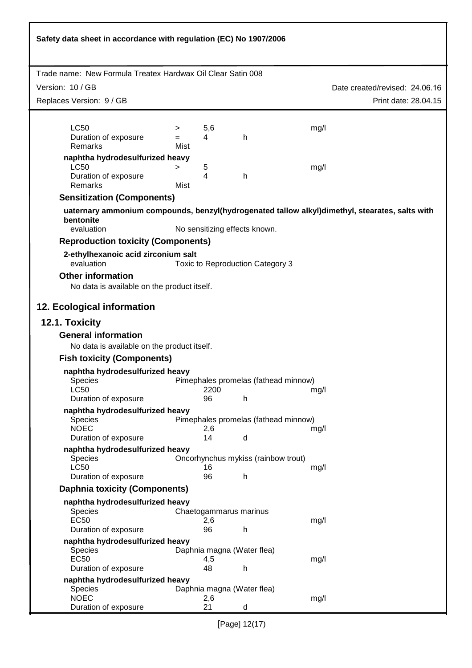| Safety data sheet in accordance with regulation (EC) No 1907/2006                                                         |                  |           |                                      |      |                                |
|---------------------------------------------------------------------------------------------------------------------------|------------------|-----------|--------------------------------------|------|--------------------------------|
| Trade name: New Formula Treatex Hardwax Oil Clear Satin 008                                                               |                  |           |                                      |      |                                |
|                                                                                                                           |                  |           |                                      |      |                                |
| Version: 10 / GB                                                                                                          |                  |           |                                      |      | Date created/revised: 24.06.16 |
| Replaces Version: 9 / GB                                                                                                  |                  |           |                                      |      | Print date: 28.04.15           |
| <b>LC50</b><br>Duration of exposure<br>Remarks                                                                            | ⋗<br>$=$<br>Mist | 5,6<br>4  | h                                    | mg/l |                                |
| naphtha hydrodesulfurized heavy<br><b>LC50</b><br>Duration of exposure<br>Remarks                                         | ><br>Mist        | 5<br>4    | h                                    | mg/l |                                |
| <b>Sensitization (Components)</b>                                                                                         |                  |           |                                      |      |                                |
| uaternary ammonium compounds, benzyl(hydrogenated tallow alkyl)dimethyl, stearates, salts with<br>bentonite<br>evaluation |                  |           | No sensitizing effects known.        |      |                                |
| <b>Reproduction toxicity (Components)</b>                                                                                 |                  |           |                                      |      |                                |
| 2-ethylhexanoic acid zirconium salt<br>evaluation                                                                         |                  |           | Toxic to Reproduction Category 3     |      |                                |
| <b>Other information</b><br>No data is available on the product itself.                                                   |                  |           |                                      |      |                                |
| 12. Ecological information                                                                                                |                  |           |                                      |      |                                |
| 12.1. Toxicity                                                                                                            |                  |           |                                      |      |                                |
| <b>General information</b><br>No data is available on the product itself.                                                 |                  |           |                                      |      |                                |
| <b>Fish toxicity (Components)</b>                                                                                         |                  |           |                                      |      |                                |
| naphtha hydrodesulfurized heavy                                                                                           |                  |           |                                      |      |                                |
| Species<br>LC50                                                                                                           |                  | 2200      | Pimephales promelas (fathead minnow) |      |                                |
| Duration of exposure                                                                                                      |                  | 96        | h                                    | mg/l |                                |
| naphtha hydrodesulfurized heavy                                                                                           |                  |           |                                      |      |                                |
| <b>Species</b>                                                                                                            |                  |           | Pimephales promelas (fathead minnow) |      |                                |
| <b>NOEC</b><br>Duration of exposure                                                                                       |                  | 2,6<br>14 | d                                    | mg/l |                                |
| naphtha hydrodesulfurized heavy<br>Species                                                                                |                  |           | Oncorhynchus mykiss (rainbow trout)  |      |                                |
| <b>LC50</b><br>Duration of exposure                                                                                       |                  | 16<br>96  | h                                    | mg/l |                                |
| <b>Daphnia toxicity (Components)</b>                                                                                      |                  |           |                                      |      |                                |
| naphtha hydrodesulfurized heavy                                                                                           |                  |           |                                      |      |                                |
| <b>Species</b><br><b>EC50</b><br>Duration of exposure                                                                     |                  | 2,6<br>96 | Chaetogammarus marinus<br>h          | mg/l |                                |
| naphtha hydrodesulfurized heavy                                                                                           |                  |           |                                      |      |                                |
| <b>Species</b><br><b>EC50</b>                                                                                             |                  | 4,5       | Daphnia magna (Water flea)           | mg/l |                                |
| Duration of exposure                                                                                                      |                  | 48        | h                                    |      |                                |
| naphtha hydrodesulfurized heavy<br>Species                                                                                |                  |           | Daphnia magna (Water flea)           |      |                                |
| <b>NOEC</b><br>Duration of exposure                                                                                       |                  | 2,6<br>21 | d                                    | mg/l |                                |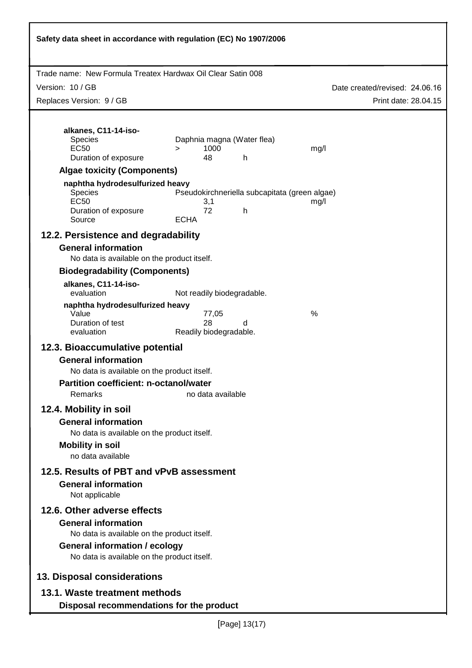| Safety data sheet in accordance with regulation (EC) No 1907/2006                                                                                   |                              |       |                                            |                                                       |                                |  |
|-----------------------------------------------------------------------------------------------------------------------------------------------------|------------------------------|-------|--------------------------------------------|-------------------------------------------------------|--------------------------------|--|
| Trade name: New Formula Treatex Hardwax Oil Clear Satin 008                                                                                         |                              |       |                                            |                                                       |                                |  |
| Version: 10 / GB                                                                                                                                    |                              |       |                                            |                                                       | Date created/revised: 24.06.16 |  |
| Replaces Version: 9 / GB                                                                                                                            |                              |       |                                            |                                                       | Print date: 28.04.15           |  |
| alkanes, C11-14-iso-<br>Species<br><b>EC50</b><br>Duration of exposure                                                                              | ⋗<br>48                      | 1000  | Daphnia magna (Water flea)<br>$\mathsf{h}$ | mg/l                                                  |                                |  |
| <b>Algae toxicity (Components)</b>                                                                                                                  |                              |       |                                            |                                                       |                                |  |
| naphtha hydrodesulfurized heavy<br><b>Species</b><br><b>EC50</b><br>Duration of exposure<br>Source                                                  | 3,1<br>72<br><b>ECHA</b>     |       | h                                          | Pseudokirchneriella subcapitata (green algae)<br>mg/l |                                |  |
| 12.2. Persistence and degradability                                                                                                                 |                              |       |                                            |                                                       |                                |  |
| <b>General information</b><br>No data is available on the product itself.                                                                           |                              |       |                                            |                                                       |                                |  |
| <b>Biodegradability (Components)</b>                                                                                                                |                              |       |                                            |                                                       |                                |  |
| alkanes, C11-14-iso-<br>evaluation                                                                                                                  | Not readily biodegradable.   |       |                                            |                                                       |                                |  |
| naphtha hydrodesulfurized heavy<br>Value<br>Duration of test<br>evaluation                                                                          | 28<br>Readily biodegradable. | 77,05 | d                                          | %                                                     |                                |  |
| 12.3. Bioaccumulative potential                                                                                                                     |                              |       |                                            |                                                       |                                |  |
| <b>General information</b><br>No data is available on the product itself.<br>Partition coefficient: n-octanol/water<br>no data available            |                              |       |                                            |                                                       |                                |  |
| Remarks                                                                                                                                             |                              |       |                                            |                                                       |                                |  |
| 12.4. Mobility in soil<br><b>General information</b><br>No data is available on the product itself.<br><b>Mobility in soil</b><br>no data available |                              |       |                                            |                                                       |                                |  |
| 12.5. Results of PBT and vPvB assessment                                                                                                            |                              |       |                                            |                                                       |                                |  |
| <b>General information</b><br>Not applicable                                                                                                        |                              |       |                                            |                                                       |                                |  |
| 12.6. Other adverse effects                                                                                                                         |                              |       |                                            |                                                       |                                |  |
| <b>General information</b><br>No data is available on the product itself.                                                                           |                              |       |                                            |                                                       |                                |  |
| <b>General information / ecology</b><br>No data is available on the product itself.                                                                 |                              |       |                                            |                                                       |                                |  |
| 13. Disposal considerations                                                                                                                         |                              |       |                                            |                                                       |                                |  |
| 13.1. Waste treatment methods<br>Disposal recommendations for the product                                                                           |                              |       |                                            |                                                       |                                |  |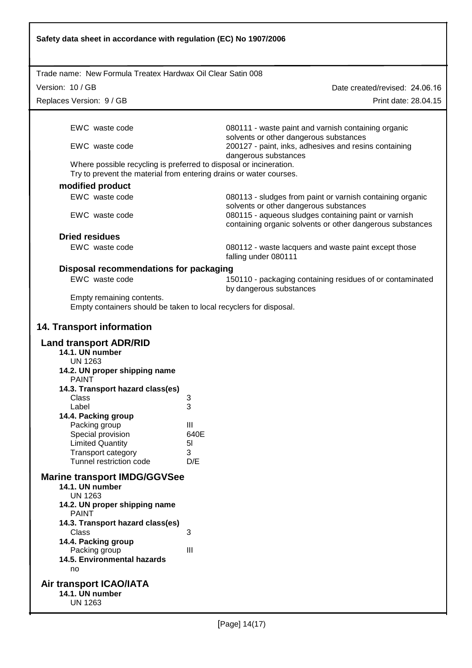| Safety data sheet in accordance with regulation (EC) No 1907/2006                                                                        |                                                                                                                   |  |  |  |  |  |  |
|------------------------------------------------------------------------------------------------------------------------------------------|-------------------------------------------------------------------------------------------------------------------|--|--|--|--|--|--|
| Trade name: New Formula Treatex Hardwax Oil Clear Satin 008                                                                              |                                                                                                                   |  |  |  |  |  |  |
| Version: 10 / GB                                                                                                                         | Date created/revised: 24.06.16                                                                                    |  |  |  |  |  |  |
| Replaces Version: 9 / GB                                                                                                                 | Print date: 28.04.15                                                                                              |  |  |  |  |  |  |
|                                                                                                                                          |                                                                                                                   |  |  |  |  |  |  |
| EWC waste code                                                                                                                           | 080111 - waste paint and varnish containing organic<br>solvents or other dangerous substances                     |  |  |  |  |  |  |
| EWC waste code                                                                                                                           | 200127 - paint, inks, adhesives and resins containing<br>dangerous substances                                     |  |  |  |  |  |  |
| Where possible recycling is preferred to disposal or incineration.<br>Try to prevent the material from entering drains or water courses. |                                                                                                                   |  |  |  |  |  |  |
| modified product                                                                                                                         |                                                                                                                   |  |  |  |  |  |  |
| EWC waste code                                                                                                                           | 080113 - sludges from paint or varnish containing organic<br>solvents or other dangerous substances               |  |  |  |  |  |  |
| EWC waste code                                                                                                                           | 080115 - aqueous sludges containing paint or varnish<br>containing organic solvents or other dangerous substances |  |  |  |  |  |  |
| <b>Dried residues</b>                                                                                                                    |                                                                                                                   |  |  |  |  |  |  |
| EWC waste code                                                                                                                           | 080112 - waste lacquers and waste paint except those<br>falling under 080111                                      |  |  |  |  |  |  |
| Disposal recommendations for packaging                                                                                                   |                                                                                                                   |  |  |  |  |  |  |
| EWC waste code                                                                                                                           | 150110 - packaging containing residues of or contaminated                                                         |  |  |  |  |  |  |
| by dangerous substances<br>Empty remaining contents.<br>Empty containers should be taken to local recyclers for disposal.                |                                                                                                                   |  |  |  |  |  |  |
| <b>14. Transport information</b>                                                                                                         |                                                                                                                   |  |  |  |  |  |  |
| <b>Land transport ADR/RID</b><br>14.1. UN number                                                                                         |                                                                                                                   |  |  |  |  |  |  |
| <b>UN 1263</b><br>14.2. UN proper shipping name<br><b>PAINT</b>                                                                          |                                                                                                                   |  |  |  |  |  |  |
| 14.3. Transport hazard class(es)                                                                                                         |                                                                                                                   |  |  |  |  |  |  |
| Class<br>Label                                                                                                                           | 3<br>3                                                                                                            |  |  |  |  |  |  |
| 14.4. Packing group                                                                                                                      |                                                                                                                   |  |  |  |  |  |  |
| Packing group                                                                                                                            | Ш                                                                                                                 |  |  |  |  |  |  |
| Special provision                                                                                                                        | 640E                                                                                                              |  |  |  |  |  |  |
| <b>Limited Quantity</b><br><b>Transport category</b>                                                                                     | 5 <sub>l</sub><br>3                                                                                               |  |  |  |  |  |  |
| Tunnel restriction code                                                                                                                  | D/E                                                                                                               |  |  |  |  |  |  |
| <b>Marine transport IMDG/GGVSee</b><br>14.1. UN number<br><b>UN 1263</b>                                                                 |                                                                                                                   |  |  |  |  |  |  |
| 14.2. UN proper shipping name<br><b>PAINT</b>                                                                                            |                                                                                                                   |  |  |  |  |  |  |
| 14.3. Transport hazard class(es)<br>Class                                                                                                | 3                                                                                                                 |  |  |  |  |  |  |
| 14.4. Packing group<br>Packing group                                                                                                     | III                                                                                                               |  |  |  |  |  |  |
| 14.5. Environmental hazards<br>no                                                                                                        |                                                                                                                   |  |  |  |  |  |  |
| Air transport ICAO/IATA<br>14.1. UN number<br><b>UN 1263</b>                                                                             |                                                                                                                   |  |  |  |  |  |  |

I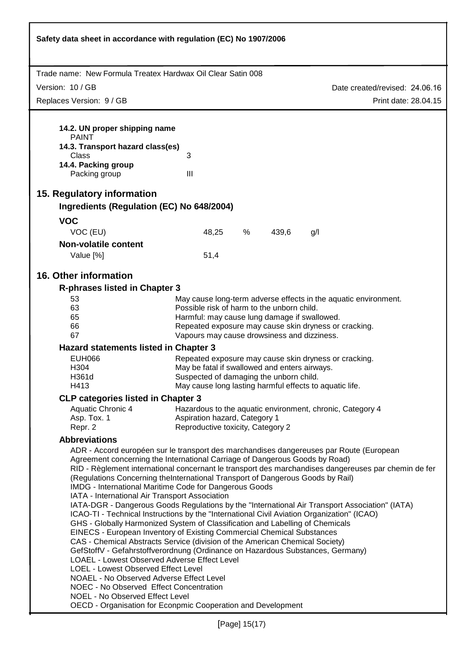| Safety data sheet in accordance with regulation (EC) No 1907/2006                                                                                                                                                                                                                                                                                                                                                                                                                                                                                                                                                                                                                                                                                                                                                                                                                                                                                                                                                                                                                                                                                                                                                                                                                          |                                                                                                               |   |       |                                                       |  |  |  |  |
|--------------------------------------------------------------------------------------------------------------------------------------------------------------------------------------------------------------------------------------------------------------------------------------------------------------------------------------------------------------------------------------------------------------------------------------------------------------------------------------------------------------------------------------------------------------------------------------------------------------------------------------------------------------------------------------------------------------------------------------------------------------------------------------------------------------------------------------------------------------------------------------------------------------------------------------------------------------------------------------------------------------------------------------------------------------------------------------------------------------------------------------------------------------------------------------------------------------------------------------------------------------------------------------------|---------------------------------------------------------------------------------------------------------------|---|-------|-------------------------------------------------------|--|--|--|--|
| Trade name: New Formula Treatex Hardwax Oil Clear Satin 008                                                                                                                                                                                                                                                                                                                                                                                                                                                                                                                                                                                                                                                                                                                                                                                                                                                                                                                                                                                                                                                                                                                                                                                                                                |                                                                                                               |   |       |                                                       |  |  |  |  |
| Version: 10 / GB                                                                                                                                                                                                                                                                                                                                                                                                                                                                                                                                                                                                                                                                                                                                                                                                                                                                                                                                                                                                                                                                                                                                                                                                                                                                           |                                                                                                               |   |       | Date created/revised: 24.06.16                        |  |  |  |  |
| Replaces Version: 9 / GB                                                                                                                                                                                                                                                                                                                                                                                                                                                                                                                                                                                                                                                                                                                                                                                                                                                                                                                                                                                                                                                                                                                                                                                                                                                                   |                                                                                                               |   |       | Print date: 28.04.15                                  |  |  |  |  |
|                                                                                                                                                                                                                                                                                                                                                                                                                                                                                                                                                                                                                                                                                                                                                                                                                                                                                                                                                                                                                                                                                                                                                                                                                                                                                            |                                                                                                               |   |       |                                                       |  |  |  |  |
| 14.2. UN proper shipping name<br><b>PAINT</b><br>14.3. Transport hazard class(es)<br>Class<br>14.4. Packing group<br>Packing group                                                                                                                                                                                                                                                                                                                                                                                                                                                                                                                                                                                                                                                                                                                                                                                                                                                                                                                                                                                                                                                                                                                                                         | 3<br>$\mathbf{III}$                                                                                           |   |       |                                                       |  |  |  |  |
|                                                                                                                                                                                                                                                                                                                                                                                                                                                                                                                                                                                                                                                                                                                                                                                                                                                                                                                                                                                                                                                                                                                                                                                                                                                                                            |                                                                                                               |   |       |                                                       |  |  |  |  |
| 15. Regulatory information<br>Ingredients (Regulation (EC) No 648/2004)                                                                                                                                                                                                                                                                                                                                                                                                                                                                                                                                                                                                                                                                                                                                                                                                                                                                                                                                                                                                                                                                                                                                                                                                                    |                                                                                                               |   |       |                                                       |  |  |  |  |
|                                                                                                                                                                                                                                                                                                                                                                                                                                                                                                                                                                                                                                                                                                                                                                                                                                                                                                                                                                                                                                                                                                                                                                                                                                                                                            |                                                                                                               |   |       |                                                       |  |  |  |  |
| <b>VOC</b><br>VOC (EU)                                                                                                                                                                                                                                                                                                                                                                                                                                                                                                                                                                                                                                                                                                                                                                                                                                                                                                                                                                                                                                                                                                                                                                                                                                                                     | 48,25                                                                                                         | % | 439,6 | g/l                                                   |  |  |  |  |
| <b>Non-volatile content</b>                                                                                                                                                                                                                                                                                                                                                                                                                                                                                                                                                                                                                                                                                                                                                                                                                                                                                                                                                                                                                                                                                                                                                                                                                                                                |                                                                                                               |   |       |                                                       |  |  |  |  |
| Value [%]                                                                                                                                                                                                                                                                                                                                                                                                                                                                                                                                                                                                                                                                                                                                                                                                                                                                                                                                                                                                                                                                                                                                                                                                                                                                                  | 51,4                                                                                                          |   |       |                                                       |  |  |  |  |
| 16. Other information                                                                                                                                                                                                                                                                                                                                                                                                                                                                                                                                                                                                                                                                                                                                                                                                                                                                                                                                                                                                                                                                                                                                                                                                                                                                      |                                                                                                               |   |       |                                                       |  |  |  |  |
|                                                                                                                                                                                                                                                                                                                                                                                                                                                                                                                                                                                                                                                                                                                                                                                                                                                                                                                                                                                                                                                                                                                                                                                                                                                                                            |                                                                                                               |   |       |                                                       |  |  |  |  |
| <b>R-phrases listed in Chapter 3</b><br>53                                                                                                                                                                                                                                                                                                                                                                                                                                                                                                                                                                                                                                                                                                                                                                                                                                                                                                                                                                                                                                                                                                                                                                                                                                                 |                                                                                                               |   |       |                                                       |  |  |  |  |
| 63                                                                                                                                                                                                                                                                                                                                                                                                                                                                                                                                                                                                                                                                                                                                                                                                                                                                                                                                                                                                                                                                                                                                                                                                                                                                                         | May cause long-term adverse effects in the aquatic environment.<br>Possible risk of harm to the unborn child. |   |       |                                                       |  |  |  |  |
| 65                                                                                                                                                                                                                                                                                                                                                                                                                                                                                                                                                                                                                                                                                                                                                                                                                                                                                                                                                                                                                                                                                                                                                                                                                                                                                         | Harmful: may cause lung damage if swallowed.                                                                  |   |       |                                                       |  |  |  |  |
| 66                                                                                                                                                                                                                                                                                                                                                                                                                                                                                                                                                                                                                                                                                                                                                                                                                                                                                                                                                                                                                                                                                                                                                                                                                                                                                         |                                                                                                               |   |       | Repeated exposure may cause skin dryness or cracking. |  |  |  |  |
| 67<br>Vapours may cause drowsiness and dizziness.                                                                                                                                                                                                                                                                                                                                                                                                                                                                                                                                                                                                                                                                                                                                                                                                                                                                                                                                                                                                                                                                                                                                                                                                                                          |                                                                                                               |   |       |                                                       |  |  |  |  |
|                                                                                                                                                                                                                                                                                                                                                                                                                                                                                                                                                                                                                                                                                                                                                                                                                                                                                                                                                                                                                                                                                                                                                                                                                                                                                            | <b>Hazard statements listed in Chapter 3</b><br>Repeated exposure may cause skin dryness or cracking.         |   |       |                                                       |  |  |  |  |
| <b>EUH066</b><br>H304                                                                                                                                                                                                                                                                                                                                                                                                                                                                                                                                                                                                                                                                                                                                                                                                                                                                                                                                                                                                                                                                                                                                                                                                                                                                      | May be fatal if swallowed and enters airways.                                                                 |   |       |                                                       |  |  |  |  |
| H361d                                                                                                                                                                                                                                                                                                                                                                                                                                                                                                                                                                                                                                                                                                                                                                                                                                                                                                                                                                                                                                                                                                                                                                                                                                                                                      | Suspected of damaging the unborn child.                                                                       |   |       |                                                       |  |  |  |  |
| H413                                                                                                                                                                                                                                                                                                                                                                                                                                                                                                                                                                                                                                                                                                                                                                                                                                                                                                                                                                                                                                                                                                                                                                                                                                                                                       | May cause long lasting harmful effects to aquatic life.                                                       |   |       |                                                       |  |  |  |  |
| <b>CLP categories listed in Chapter 3</b>                                                                                                                                                                                                                                                                                                                                                                                                                                                                                                                                                                                                                                                                                                                                                                                                                                                                                                                                                                                                                                                                                                                                                                                                                                                  |                                                                                                               |   |       |                                                       |  |  |  |  |
| Aquatic Chronic 4                                                                                                                                                                                                                                                                                                                                                                                                                                                                                                                                                                                                                                                                                                                                                                                                                                                                                                                                                                                                                                                                                                                                                                                                                                                                          | Hazardous to the aquatic environment, chronic, Category 4                                                     |   |       |                                                       |  |  |  |  |
| Asp. Tox. 1                                                                                                                                                                                                                                                                                                                                                                                                                                                                                                                                                                                                                                                                                                                                                                                                                                                                                                                                                                                                                                                                                                                                                                                                                                                                                | Aspiration hazard, Category 1                                                                                 |   |       |                                                       |  |  |  |  |
| Repr. 2<br><b>Abbreviations</b>                                                                                                                                                                                                                                                                                                                                                                                                                                                                                                                                                                                                                                                                                                                                                                                                                                                                                                                                                                                                                                                                                                                                                                                                                                                            | Reproductive toxicity, Category 2                                                                             |   |       |                                                       |  |  |  |  |
| ADR - Accord européen sur le transport des marchandises dangereuses par Route (European<br>Agreement concerning the International Carriage of Dangerous Goods by Road)<br>RID - Règlement international concernant le transport des marchandises dangereuses par chemin de fer<br>(Regulations Concerning theInternational Transport of Dangerous Goods by Rail)<br>IMDG - International Maritime Code for Dangerous Goods<br>IATA - International Air Transport Association<br>IATA-DGR - Dangerous Goods Regulations by the "International Air Transport Association" (IATA)<br>ICAO-TI - Technical Instructions by the "International Civil Aviation Organization" (ICAO)<br>GHS - Globally Harmonized System of Classification and Labelling of Chemicals<br>EINECS - European Inventory of Existing Commercial Chemical Substances<br>CAS - Chemical Abstracts Service (division of the American Chemical Society)<br>GefStoffV - Gefahrstoffverordnung (Ordinance on Hazardous Substances, Germany)<br>LOAEL - Lowest Observed Adverse Effect Level<br>LOEL - Lowest Observed Effect Level<br>NOAEL - No Observed Adverse Effect Level<br>NOEC - No Observed Effect Concentration<br>NOEL - No Observed Effect Level<br>OECD - Organisation for Econpmic Cooperation and Development |                                                                                                               |   |       |                                                       |  |  |  |  |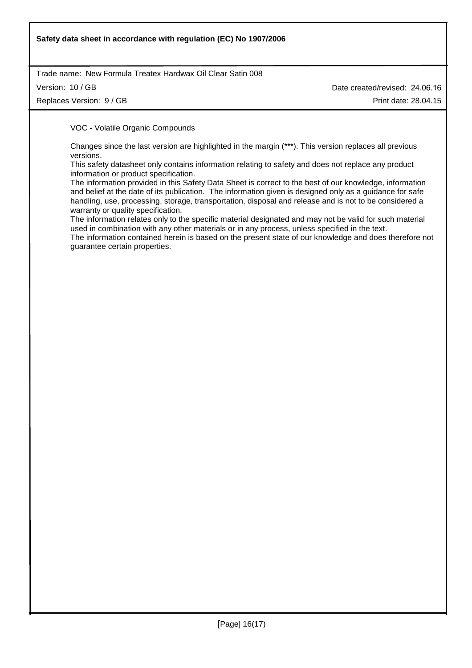## **Safety data sheet in accordance with regulation (EC) No 1907/2006**

Trade name: New Formula Treatex Hardwax Oil Clear Satin 008

Version: 10 / GB

Replaces Version: 9 / GB

Date created/revised: 24.06.16 Print date: 28.04.15

VOC - Volatile Organic Compounds

Changes since the last version are highlighted in the margin (\*\*\*). This version replaces all previous versions.

This safety datasheet only contains information relating to safety and does not replace any product information or product specification.

The information provided in this Safety Data Sheet is correct to the best of our knowledge, information and belief at the date of its publication. The information given is designed only as a guidance for safe handling, use, processing, storage, transportation, disposal and release and is not to be considered a warranty or quality specification.

The information relates only to the specific material designated and may not be valid for such material used in combination with any other materials or in any process, unless specified in the text.

The information contained herein is based on the present state of our knowledge and does therefore not guarantee certain properties.